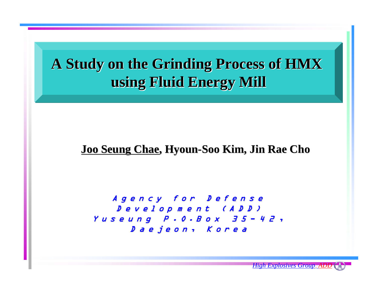## A Study on the Grinding Process of HMX **using Fluid Energy Mill using Fluid Energy Mill**

#### <u>Joo Seung Chae,</u> Hyoun-Soo Kim, Jin Rae Cho

Agency for Defense D evelop m e nt (ADD) Yuseung Yuseung P .O.B o x P .O.B o x 3 5 - 4 2 , Daejeon, Korea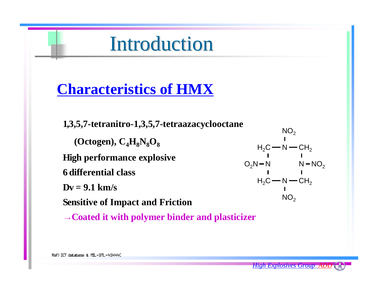# **Introduction**

## **Characteristics of HMX**

**1,3,5,7-tetranitro-1,3,5,7-tetraazacyclooctane (Octogen), C4 H8 N8 O 8High performance explosive 6 differential classDv = 9.1 km/s Sensitive of Impact and Friction**

**<sup>→</sup>Coated it with polymer binder and plasticizer**

 ${\sf H}_2{\sf C}$  — N — C ${\sf H}_2$  $O_2N-N$   $N-NO_2$  ${\sf H}_{\sf 2}$ C $\operatorname{\mathsf{--N}}\operatorname{\mathsf{--CH}}_{\sf 2}$  $\mathsf{NO_2}$  $\mathsf{NO_2}$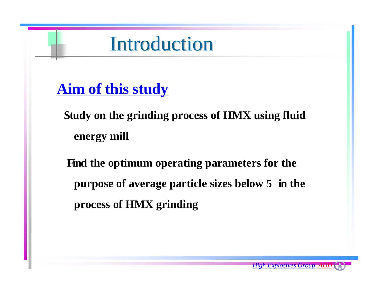# **Introduction**

## **Aim of this study**

**Study on the grinding process of HMX using fluid energy mill**

**Find the optimum operating parameters for the purpose of average particle sizes below 5 in the process of HMX grinding**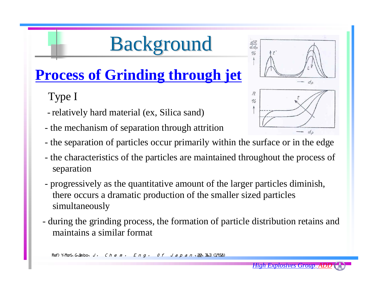# **Background**

## **Process of Grinding through jet**

## Type I

- relatively hard material (ex, Silica sand)
- the mechanism of separation through attrition
- the separation of particles occur primarily within the surface or in the edge
- the characteristics of the particles are maintained throughout the process of separation
- progressively as the quantitative amount of the larger particles diminish, there occurs a dramatic production of the smaller sized particles simultaneously
- during the grinding process, the formation of particle distribution retains and maintains a similar format

Ref) Y. Mori, G. Jimbo,  $J - C h e m - E n q - O f J a p a n$ ,  $22$ ,  $363$  (1958)



 $\frac{dR}{d d\rho}$  $c/h$ 

> $R$  $\frac{1}{2}$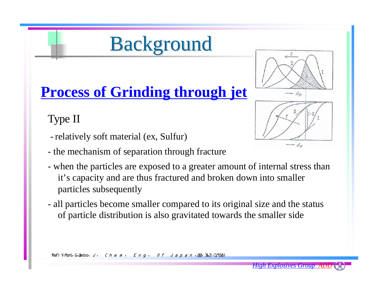# **Background**

# **Process of Grinding through jet**

Type II

- relatively soft material (ex, Sulfur)
- the mechanism of separation through fracture
- when the particles are exposed to a greater amount of internal stress than it's capacity and are thus fractured and broken down into smaller particles subsequently
- all particles become smaller compared to its original size and the status of particle distribution is also gravitated towards the smaller side

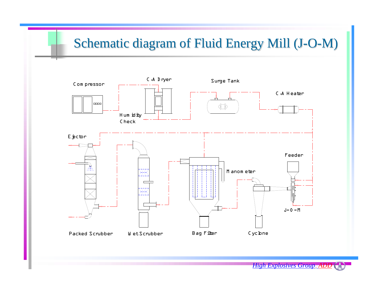#### Schematic diagram of Fluid Energy Mill (J - O -M)

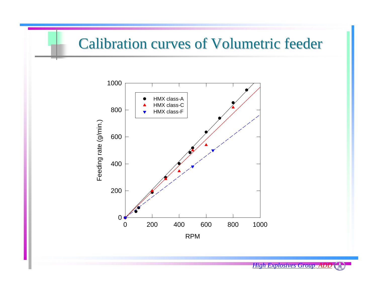## **Calibration curves of Volumetric feeder**

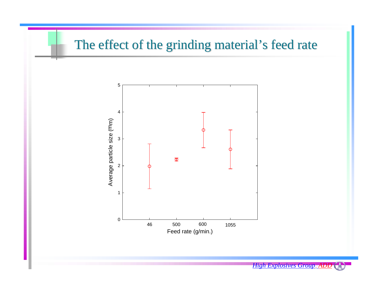## The effect of the grinding material's feed rate

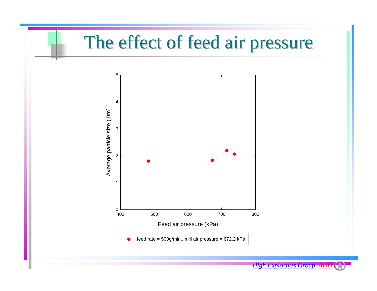# The effect of feed air pressure

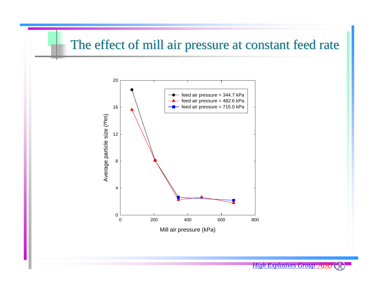## The effect of mill air pressure at constant feed rate

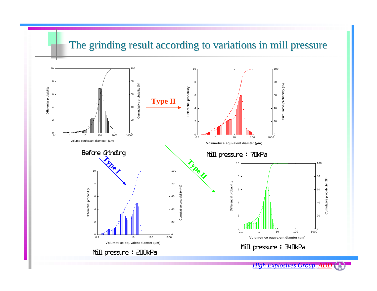#### The grinding result according to variations in mill pressure

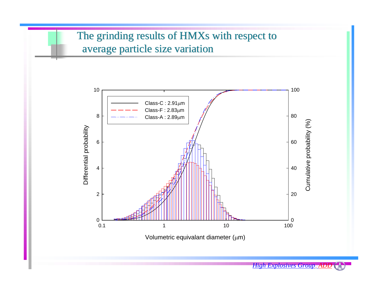## The grinding results of HMXs with respect to average particle size variation



Volumetric equivalant diameter (μm)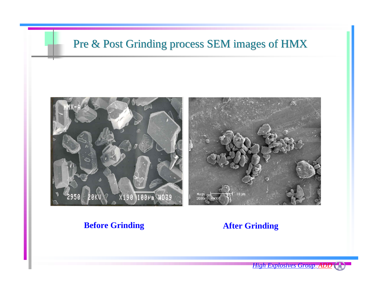### Pre & Post Grinding process SEM images of HMX



#### **Before Grinding After Grinding**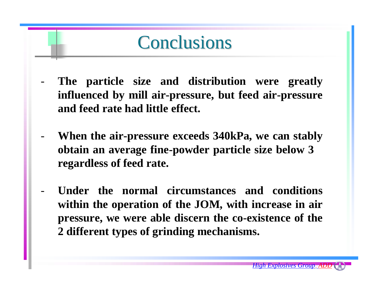# **Conclusions**

- The particle size and distribution were greatly **influenced by mill air-pressure, but feed air-pressure and feed rate had little effect.**
- **When the air-pressure exceeds 340kPa, we can stably obtain an average fine-powder particle size below 3 regardless of feed rate.**
- **Under the normal circumstances and conditions within the operation of the JOM, with increase in air pressure, we were able discern the co-existence of the 2 different types of grinding mechanisms.**